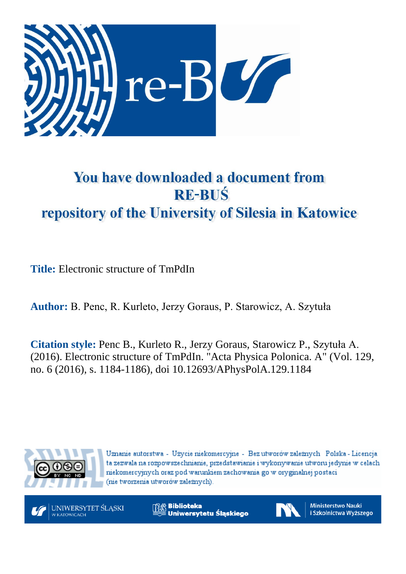

# You have downloaded a document from **RE-BUŚ** repository of the University of Silesia in Katowice

**Title:** Electronic structure of TmPdIn

**Author:** B. Penc, R. Kurleto, Jerzy Goraus, P. Starowicz, A. Szytuła

**Citation style:** Penc B., Kurleto R., Jerzy Goraus, Starowicz P., Szytuła A. (2016). Electronic structure of TmPdIn. "Acta Physica Polonica. A" (Vol. 129, no. 6 (2016), s. 1184-1186), doi 10.12693/APhysPolA.129.1184



Uznanie autorstwa - Użycie niekomercyjne - Bez utworów zależnych Polska - Licencja ta zezwala na rozpowszechnianie, przedstawianie i wykonywanie utworu jedynie w celach niekomercyjnych oraz pod warunkiem zachowania go w oryginalnej postaci (nie tworzenia utworów zależnych).



**Biblioteka** Uniwersytetu Śląskiego



**Ministerstwo Nauki** i Szkolnictwa Wyższego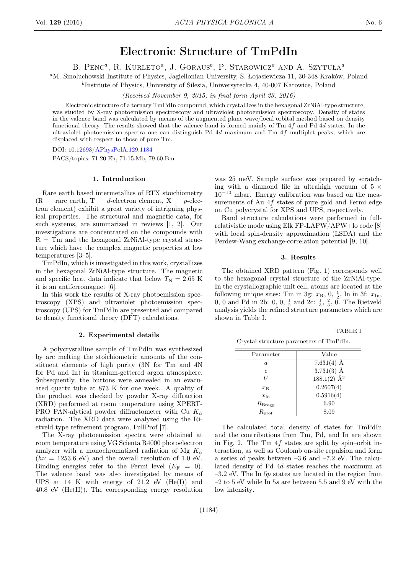# Electronic Structure of TmPdIn

B. PENC<sup>a</sup>, R. KURLETO<sup>a</sup>, J. GORAUS<sup>b</sup>, P. STAROWICZ<sup>a</sup> AND A. SZYTUŁA<sup>a</sup>

<sup>a</sup>M. Smoluchowski Institute of Physics, Jagiellonian University, S. Łojasiewicza 11, 30-348 Kraków, Poland

b Institute of Physics, University of Silesia, Uniwersytecka 4, 40-007 Katowice, Poland

(Received November 9, 2015; in final form April 23, 2016)

Electronic structure of a ternary TmPdIn compound, which crystallizes in the hexagonal ZrNiAl-type structure, was studied by X-ray photoemission spectroscopy and ultraviolet photoemission spectroscopy. Density of states in the valence band was calculated by means of the augmented plane wave/local orbital method based on density functional theory. The results showed that the valence band is formed mainly of Tm 4f and Pd 4d states. In the ultraviolet photoemission spectra one can distinguish Pd 4d maximum and Tm 4f multiplet peaks, which are displaced with respect to those of pure Tm.

DOI: [10.12693/APhysPolA.129.1184](http://dx.doi.org/10.12693/APhysPolA.129.1184)

PACS/topics: 71.20.Eh, 71.15.Mb, 79.60.Bm

#### 1. Introduction

Rare earth based intermetallics of RTX stoichiometry  $(R - \text{rare earth}, T - d\text{-electron element}, X - p\text{-electrons})$ tron element) exhibit a great variety of intriguing physical properties. The structural and magnetic data, for such systems, are summarized in reviews [1, 2]. Our investigations are concentrated on the compounds with  $R = Tm$  and the hexagonal ZrNiAl-type crystal structure which have the complex magnetic properties at low temperatures [3–5].

TmPdIn, which is investigated in this work, crystallizes in the hexagonal ZrNiAl-type structure. The magnetic and specific heat data indicate that below  $T_N = 2.65$  K it is an antiferromagnet [6].

In this work the results of X-ray photoemission spectroscopy (XPS) and ultraviolet photoemission spectroscopy (UPS) for TmPdIn are presented and compared to density functional theory (DFT) calculations.

### 2. Experimental details

A polycrystalline sample of TmPdIn was synthesized by arc melting the stoichiometric amounts of the constituent elements of high purity (3N for Tm and 4N for Pd and In) in titanium-gettered argon atmosphere. Subsequently, the buttons were annealed in an evacuated quartz tube at 873 K for one week. A quality of the product was checked by powder X-ray diffraction (XRD) performed at room temperature using XPERT-PRO PAN-alytical powder diffractometer with Cu  $K_{\alpha}$ radiation. The XRD data were analyzed using the Rietveld type refinement program, FullProf [7].

The X-ray photoemission spectra were obtained at room temperature using VG Scienta R4000 photoelectron analyzer with a monochromatized radiation of Mg  $K_{\alpha}$  $(h\nu = 1253.6$  eV) and the overall resolution of 1.0 eV. Binding energies refer to the Fermi level  $(E_F = 0)$ . The valence band was also investigated by means of UPS at 14 K with energy of  $21.2$  eV  $(He(I))$  and 40.8 eV (He(II)). The corresponding energy resolution

was 25 meV. Sample surface was prepared by scratching with a diamond file in ultrahigh vacuum of  $5 \times$  $10^{-10}$  mbar. Energy calibration was based on the measurements of Au 4f states of pure gold and Fermi edge on Cu polycrystal for XPS and UPS, respectively.

Band structure calculations were performed in fullrelativistic mode using Elk FP-LAPW/APW+lo code [8] with local spin-density approximation (LSDA) and the Perdew-Wang exchange-correlation potential [9, 10].

#### 3. Results

The obtained XRD pattern (Fig. 1) corresponds well to the hexagonal crystal structure of the ZrNiAl-type. In the crystallographic unit cell, atoms are located at the following unique sites: Tm in 3g:  $x_R$ , 0,  $\frac{1}{2}$ , In in 3f:  $x_{\text{In}}$ , 0, 0 and Pd in 2b: 0, 0,  $\frac{1}{2}$  and 2c:  $\frac{1}{3}$ ,  $\frac{2}{3}$ , 0. The Rietveld analysis yields the refined structure parameters which are shown in Table I.

Crystal structure parameters of TmPdIn.

TABLE I

| Parameter           | Value              |
|---------------------|--------------------|
| a                   | 7.631 $(4)$ Å      |
| c                   | $3.731(3)$ Å       |
| V                   | $188.1(2)$ $\AA^3$ |
| $x_{\rm R}$         | 0.2607(4)          |
| $x_{\text{In}}$     | 0.5916(4)          |
| $R_{\rm Bragg}$     | 6.90               |
| $R_{\mathrm{prof}}$ | 8.09               |
|                     |                    |

The calculated total density of states for TmPdIn and the contributions from Tm, Pd, and In are shown in Fig. 2. The Tm  $4f$  states are split by spin–orbit interaction, as well as Coulomb on-site repulsion and form a series of peaks between –3.6 and –7.2 eV. The calculated density of Pd 4d states reaches the maximum at  $-3.2$  eV. The In  $5p$  states are located in the region from  $-2$  to 5 eV while In 5s are between 5.5 and 9 eV with the low intensity.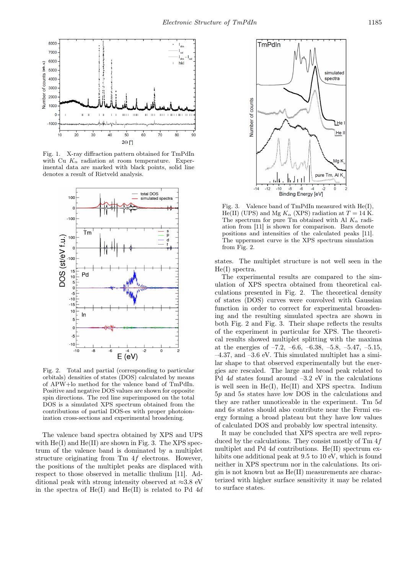

Fig. 1. X-ray diffraction pattern obtained for TmPdIn with Cu  $K_{\alpha}$  radiation at room temperature. Experimental data are marked with black points, solid line denotes a result of Rietveld analysis.



Fig. 2. Total and partial (corresponding to particular orbitals) densities of states (DOS) calculated by means of APW+lo method for the valence band of TmPdIn. Positive and negative DOS values are shown for opposite spin directions. The red line superimposed on the total DOS is a simulated XPS spectrum obtained from the contributions of partial DOS-es with proper photoionization cross-sections and experimental broadening.

The valence band spectra obtained by XPS and UPS with  $He(I)$  and  $He(II)$  are shown in Fig. 3. The XPS spectrum of the valence band is dominated by a multiplet structure originating from  $Tm 4f$  electrons. However, the positions of the multiplet peaks are displaced with respect to those observed in metallic thulium [11]. Additional peak with strong intensity observed at  $\approx 3.8$  eV in the spectra of  $He(I)$  and  $He(II)$  is related to Pd 4d



Fig. 3. Valence band of TmPdIn measured with He(I), He(II) (UPS) and Mg  $K_{\alpha}$  (XPS) radiation at  $T = 14$  K. The spectrum for pure Tm obtained with Al  $K_{\alpha}$  radiation from [11] is shown for comparison. Bars denote positions and intensities of the calculated peaks [11]. The uppermost curve is the XPS spectrum simulation from Fig. 2.

states. The multiplet structure is not well seen in the He(I) spectra.

The experimental results are compared to the simulation of XPS spectra obtained from theoretical calculations presented in Fig. 2. The theoretical density of states (DOS) curves were convolved with Gaussian function in order to correct for experimental broadening and the resulting simulated spectra are shown in both Fig. 2 and Fig. 3. Their shape reflects the results of the experiment in particular for XPS. The theoretical results showed multiplet splitting with the maxima at the energies of  $-7.2, -6.6, -6.38, -5.8, -5.47, -5.15,$  $-4.37$ , and  $-3.6$  eV. This simulated multiplet has a similar shape to that observed experimentally but the energies are rescaled. The large and broad peak related to Pd 4d states found around –3.2 eV in the calculations is well seen in He(I), He(II) and XPS spectra. Indium 5p and 5s states have low DOS in the calculations and they are rather unnoticeable in the experiment. Tm  $5d$ and 6s states should also contribute near the Fermi energy forming a broad plateau but they have low values of calculated DOS and probably low spectral intensity.

It may be concluded that XPS spectra are well reproduced by the calculations. They consist mostly of Tm 4f multiplet and Pd 4d contributions. He(II) spectrum exhibits one additional peak at 9.5 to 10 eV, which is found neither in XPS spectrum nor in the calculations. Its origin is not known but as He(II) measurements are characterized with higher surface sensitivity it may be related to surface states.